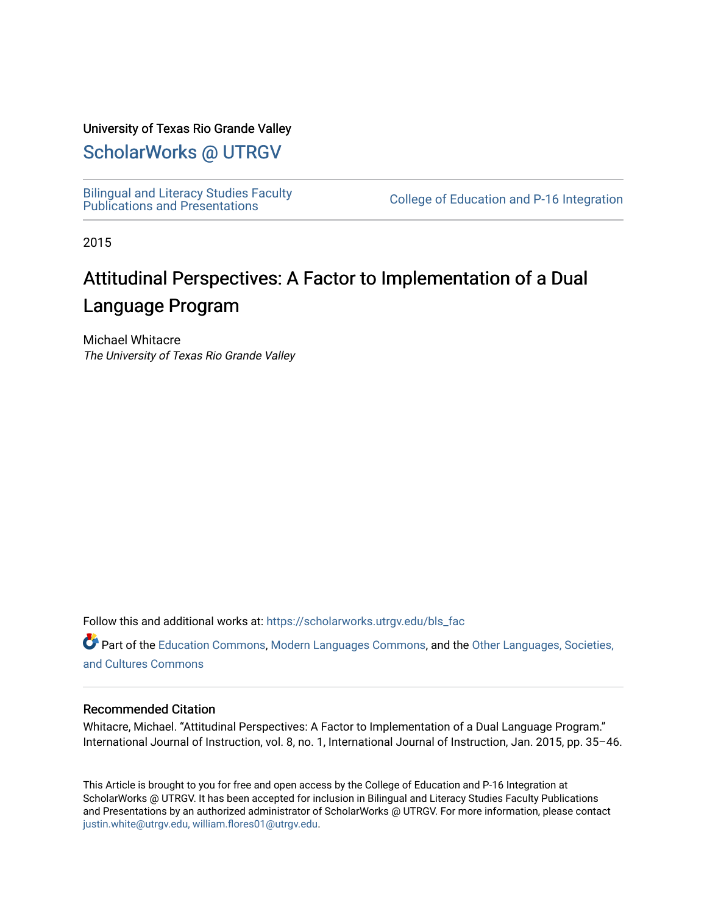## University of Texas Rio Grande Valley

# [ScholarWorks @ UTRGV](https://scholarworks.utrgv.edu/)

[Bilingual and Literacy Studies Faculty](https://scholarworks.utrgv.edu/bls_fac)<br>Publications and Presentations

College of Education and P-16 Integration

2015

# Attitudinal Perspectives: A Factor to Implementation of a Dual Language Program

Michael Whitacre The University of Texas Rio Grande Valley

Follow this and additional works at: [https://scholarworks.utrgv.edu/bls\\_fac](https://scholarworks.utrgv.edu/bls_fac?utm_source=scholarworks.utrgv.edu%2Fbls_fac%2F5&utm_medium=PDF&utm_campaign=PDFCoverPages) 

Part of the [Education Commons](http://network.bepress.com/hgg/discipline/784?utm_source=scholarworks.utrgv.edu%2Fbls_fac%2F5&utm_medium=PDF&utm_campaign=PDFCoverPages), [Modern Languages Commons,](http://network.bepress.com/hgg/discipline/1130?utm_source=scholarworks.utrgv.edu%2Fbls_fac%2F5&utm_medium=PDF&utm_campaign=PDFCoverPages) and the [Other Languages, Societies,](http://network.bepress.com/hgg/discipline/475?utm_source=scholarworks.utrgv.edu%2Fbls_fac%2F5&utm_medium=PDF&utm_campaign=PDFCoverPages)  [and Cultures Commons](http://network.bepress.com/hgg/discipline/475?utm_source=scholarworks.utrgv.edu%2Fbls_fac%2F5&utm_medium=PDF&utm_campaign=PDFCoverPages) 

#### Recommended Citation

Whitacre, Michael. "Attitudinal Perspectives: A Factor to Implementation of a Dual Language Program." International Journal of Instruction, vol. 8, no. 1, International Journal of Instruction, Jan. 2015, pp. 35–46.

This Article is brought to you for free and open access by the College of Education and P-16 Integration at ScholarWorks @ UTRGV. It has been accepted for inclusion in Bilingual and Literacy Studies Faculty Publications and Presentations by an authorized administrator of ScholarWorks @ UTRGV. For more information, please contact [justin.white@utrgv.edu, william.flores01@utrgv.edu](mailto:justin.white@utrgv.edu,%20william.flores01@utrgv.edu).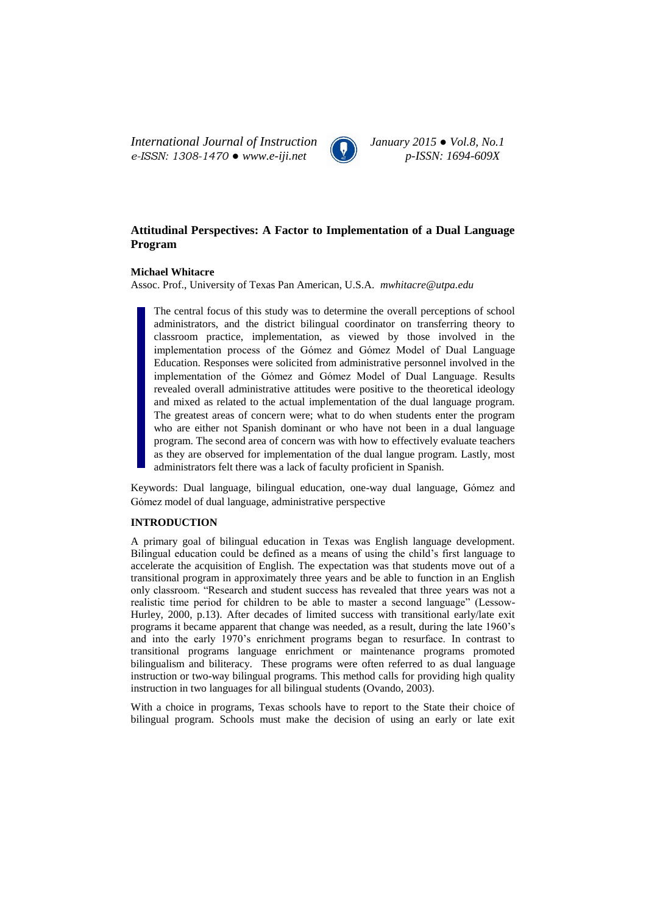*International Journal of Instruction January 2015 ● Vol.8, No.1 e-ISSN: 1308-1470 ● www.e-iji.net p-ISSN: 1694-609X*



### **Attitudinal Perspectives: A Factor to Implementation of a Dual Language Program**

#### **Michael Whitacre**

Assoc. Prof., University of Texas Pan American, U.S.A. *[mwhitacre@utpa.edu](mailto:mwhitacre@utpa.edu)*

The central focus of this study was to determine the overall perceptions of school administrators, and the district bilingual coordinator on transferring theory to classroom practice, implementation, as viewed by those involved in the implementation process of the Gómez and Gómez Model of Dual Language Education. Responses were solicited from administrative personnel involved in the implementation of the Gómez and Gómez Model of Dual Language. Results revealed overall administrative attitudes were positive to the theoretical ideology and mixed as related to the actual implementation of the dual language program. The greatest areas of concern were; what to do when students enter the program who are either not Spanish dominant or who have not been in a dual language program. The second area of concern was with how to effectively evaluate teachers as they are observed for implementation of the dual langue program. Lastly, most administrators felt there was a lack of faculty proficient in Spanish.

Keywords: Dual language, bilingual education, one-way dual language, Gómez and Gómez model of dual language, administrative perspective

#### **INTRODUCTION**

A primary goal of bilingual education in Texas was English language development. Bilingual education could be defined as a means of using the child's first language to accelerate the acquisition of English. The expectation was that students move out of a transitional program in approximately three years and be able to function in an English only classroom. "Research and student success has revealed that three years was not a realistic time period for children to be able to master a second language" (Lessow-Hurley, 2000, p.13). After decades of limited success with transitional early/late exit programs it became apparent that change was needed, as a result, during the late 1960's and into the early 1970's enrichment programs began to resurface. In contrast to transitional programs language enrichment or maintenance programs promoted bilingualism and biliteracy. These programs were often referred to as dual language instruction or two-way bilingual programs. This method calls for providing high quality instruction in two languages for all bilingual students (Ovando, 2003).

With a choice in programs, Texas schools have to report to the State their choice of bilingual program. Schools must make the decision of using an early or late exit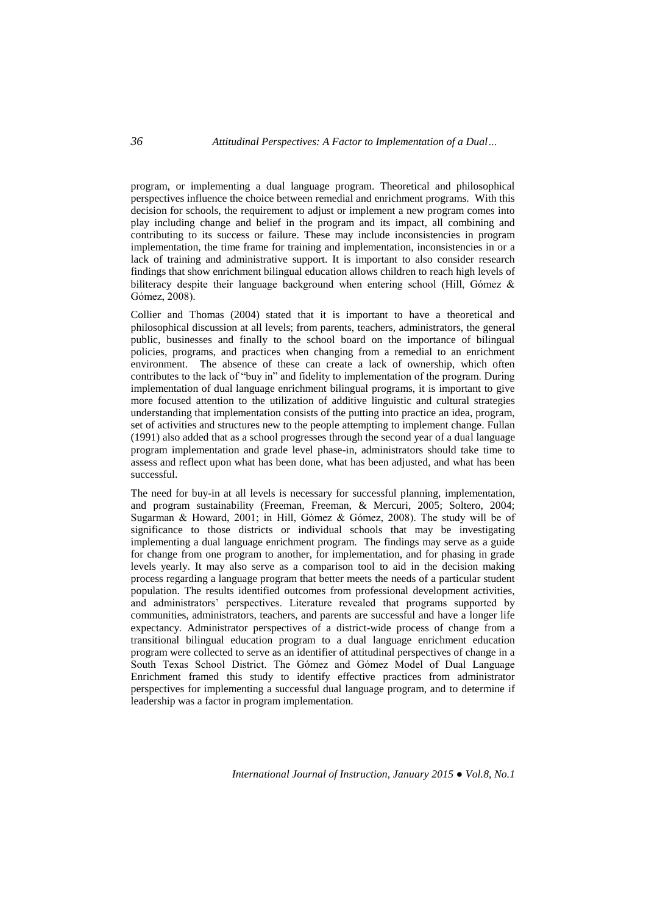program, or implementing a dual language program. Theoretical and philosophical perspectives influence the choice between remedial and enrichment programs. With this decision for schools, the requirement to adjust or implement a new program comes into play including change and belief in the program and its impact, all combining and contributing to its success or failure. These may include inconsistencies in program implementation, the time frame for training and implementation, inconsistencies in or a lack of training and administrative support. It is important to also consider research findings that show enrichment bilingual education allows children to reach high levels of biliteracy despite their language background when entering school (Hill, Gómez & Gómez, 2008).

Collier and Thomas (2004) stated that it is important to have a theoretical and philosophical discussion at all levels; from parents, teachers, administrators, the general public, businesses and finally to the school board on the importance of bilingual policies, programs, and practices when changing from a remedial to an enrichment environment. The absence of these can create a lack of ownership, which often contributes to the lack of "buy in" and fidelity to implementation of the program. During implementation of dual language enrichment bilingual programs, it is important to give more focused attention to the utilization of additive linguistic and cultural strategies understanding that implementation consists of the putting into practice an idea, program, set of activities and structures new to the people attempting to implement change. Fullan (1991) also added that as a school progresses through the second year of a dual language program implementation and grade level phase-in, administrators should take time to assess and reflect upon what has been done, what has been adjusted, and what has been successful.

The need for buy-in at all levels is necessary for successful planning, implementation, and program sustainability (Freeman, Freeman, & Mercuri, 2005; Soltero, 2004; Sugarman & Howard, 2001; in Hill, Gómez & Gómez, 2008). The study will be of significance to those districts or individual schools that may be investigating implementing a dual language enrichment program. The findings may serve as a guide for change from one program to another, for implementation, and for phasing in grade levels yearly. It may also serve as a comparison tool to aid in the decision making process regarding a language program that better meets the needs of a particular student population. The results identified outcomes from professional development activities, and administrators' perspectives. Literature revealed that programs supported by communities, administrators, teachers, and parents are successful and have a longer life expectancy. Administrator perspectives of a district-wide process of change from a transitional bilingual education program to a dual language enrichment education program were collected to serve as an identifier of attitudinal perspectives of change in a South Texas School District. The Gómez and Gómez Model of Dual Language Enrichment framed this study to identify effective practices from administrator perspectives for implementing a successful dual language program, and to determine if leadership was a factor in program implementation.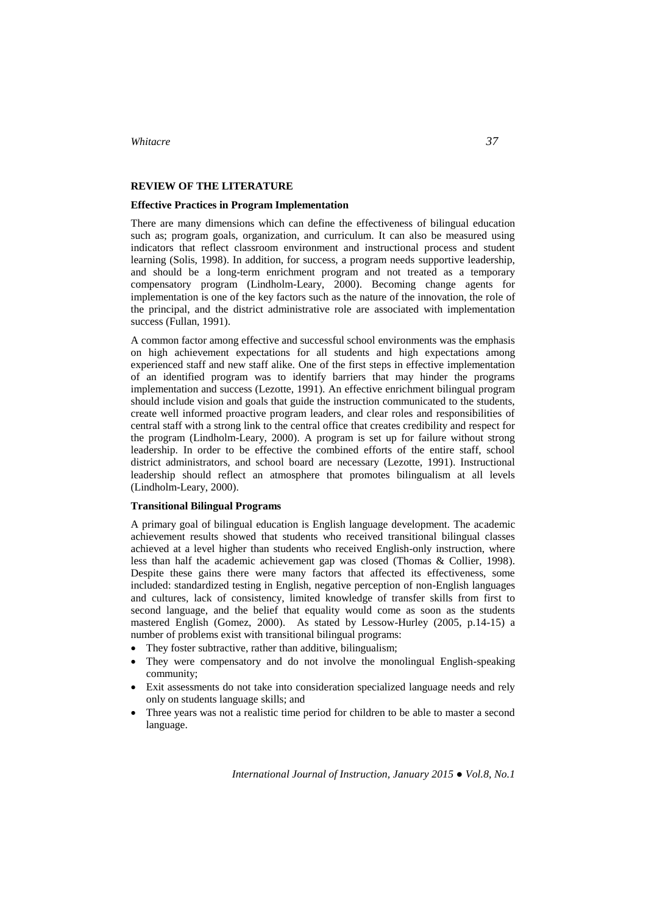#### **REVIEW OF THE LITERATURE**

#### **Effective Practices in Program Implementation**

There are many dimensions which can define the effectiveness of bilingual education such as; program goals, organization, and curriculum. It can also be measured using indicators that reflect classroom environment and instructional process and student learning (Solis, 1998). In addition, for success, a program needs supportive leadership, and should be a long-term enrichment program and not treated as a temporary compensatory program (Lindholm-Leary, 2000). Becoming change agents for implementation is one of the key factors such as the nature of the innovation, the role of the principal, and the district administrative role are associated with implementation success (Fullan, 1991).

A common factor among effective and successful school environments was the emphasis on high achievement expectations for all students and high expectations among experienced staff and new staff alike. One of the first steps in effective implementation of an identified program was to identify barriers that may hinder the programs implementation and success (Lezotte, 1991). An effective enrichment bilingual program should include vision and goals that guide the instruction communicated to the students, create well informed proactive program leaders, and clear roles and responsibilities of central staff with a strong link to the central office that creates credibility and respect for the program (Lindholm-Leary, 2000). A program is set up for failure without strong leadership. In order to be effective the combined efforts of the entire staff, school district administrators, and school board are necessary (Lezotte, 1991). Instructional leadership should reflect an atmosphere that promotes bilingualism at all levels (Lindholm-Leary, 2000).

#### **Transitional Bilingual Programs**

A primary goal of bilingual education is English language development. The academic achievement results showed that students who received transitional bilingual classes achieved at a level higher than students who received English-only instruction, where less than half the academic achievement gap was closed (Thomas & Collier, 1998). Despite these gains there were many factors that affected its effectiveness, some included: standardized testing in English, negative perception of non-English languages and cultures, lack of consistency, limited knowledge of transfer skills from first to second language, and the belief that equality would come as soon as the students mastered English (Gomez, 2000). As stated by Lessow-Hurley (2005, p.14-15) a number of problems exist with transitional bilingual programs:

- They foster subtractive, rather than additive, bilingualism;
- They were compensatory and do not involve the monolingual English-speaking community;
- Exit assessments do not take into consideration specialized language needs and rely only on students language skills; and
- Three years was not a realistic time period for children to be able to master a second language.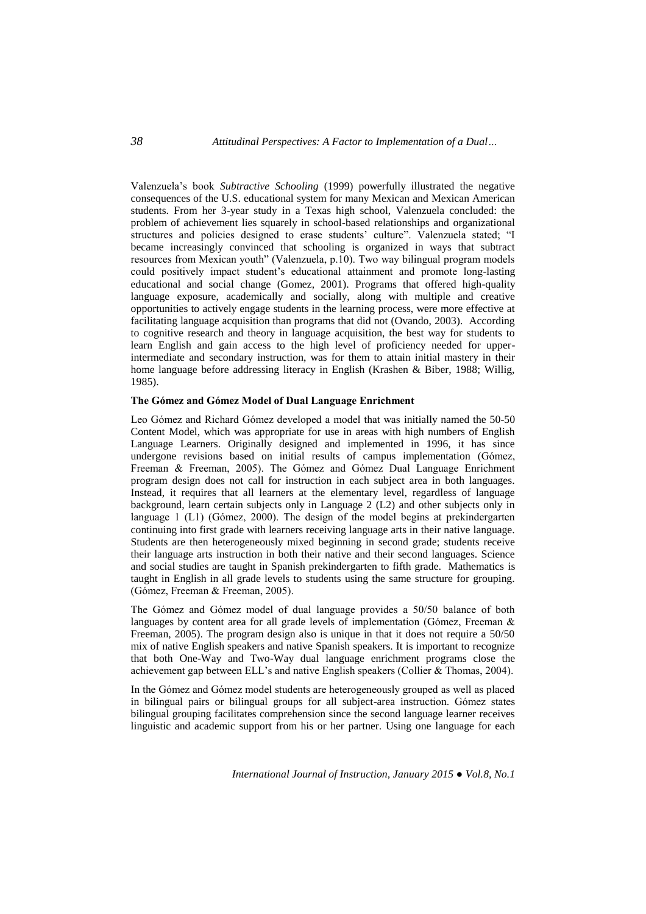Valenzuela's book *Subtractive Schooling* (1999) powerfully illustrated the negative consequences of the U.S. educational system for many Mexican and Mexican American students. From her 3-year study in a Texas high school, Valenzuela concluded: the problem of achievement lies squarely in school-based relationships and organizational structures and policies designed to erase students' culture". Valenzuela stated; "I became increasingly convinced that schooling is organized in ways that subtract resources from Mexican youth" (Valenzuela, p.10). Two way bilingual program models could positively impact student's educational attainment and promote long-lasting educational and social change (Gomez, 2001). Programs that offered high-quality language exposure, academically and socially, along with multiple and creative opportunities to actively engage students in the learning process, were more effective at facilitating language acquisition than programs that did not (Ovando, 2003). According to cognitive research and theory in language acquisition, the best way for students to learn English and gain access to the high level of proficiency needed for upperintermediate and secondary instruction, was for them to attain initial mastery in their home language before addressing literacy in English (Krashen & Biber, 1988; Willig, 1985).

#### **The Gómez and Gómez Model of Dual Language Enrichment**

Leo Gómez and Richard Gómez developed a model that was initially named the 50-50 Content Model, which was appropriate for use in areas with high numbers of English Language Learners. Originally designed and implemented in 1996, it has since undergone revisions based on initial results of campus implementation (Gómez, Freeman & Freeman, 2005). The Gómez and Gómez Dual Language Enrichment program design does not call for instruction in each subject area in both languages. Instead, it requires that all learners at the elementary level, regardless of language background, learn certain subjects only in Language 2 (L2) and other subjects only in language 1 (L1) (Gómez, 2000). The design of the model begins at prekindergarten continuing into first grade with learners receiving language arts in their native language. Students are then heterogeneously mixed beginning in second grade; students receive their language arts instruction in both their native and their second languages. Science and social studies are taught in Spanish prekindergarten to fifth grade. Mathematics is taught in English in all grade levels to students using the same structure for grouping. (Gómez, Freeman & Freeman, 2005).

The Gómez and Gómez model of dual language provides a 50/50 balance of both languages by content area for all grade levels of implementation (Gómez, Freeman & Freeman, 2005). The program design also is unique in that it does not require a 50/50 mix of native English speakers and native Spanish speakers. It is important to recognize that both One-Way and Two-Way dual language enrichment programs close the achievement gap between ELL's and native English speakers (Collier & Thomas, 2004).

In the Gómez and Gómez model students are heterogeneously grouped as well as placed in bilingual pairs or bilingual groups for all subject-area instruction. Gómez states bilingual grouping facilitates comprehension since the second language learner receives linguistic and academic support from his or her partner. Using one language for each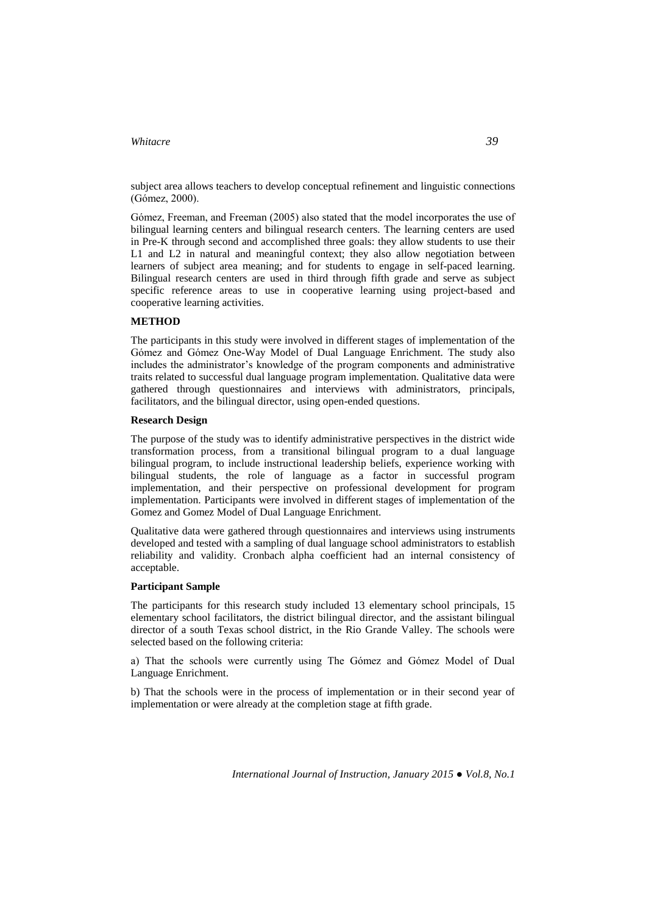subject area allows teachers to develop conceptual refinement and linguistic connections (Gómez, 2000).

Gómez, Freeman, and Freeman (2005) also stated that the model incorporates the use of bilingual learning centers and bilingual research centers. The learning centers are used in Pre-K through second and accomplished three goals: they allow students to use their L1 and L2 in natural and meaningful context; they also allow negotiation between learners of subject area meaning; and for students to engage in self-paced learning. Bilingual research centers are used in third through fifth grade and serve as subject specific reference areas to use in cooperative learning using project-based and cooperative learning activities.

#### **METHOD**

The participants in this study were involved in different stages of implementation of the Gómez and Gómez One-Way Model of Dual Language Enrichment. The study also includes the administrator's knowledge of the program components and administrative traits related to successful dual language program implementation. Qualitative data were gathered through questionnaires and interviews with administrators, principals, facilitators, and the bilingual director, using open-ended questions.

#### **Research Design**

The purpose of the study was to identify administrative perspectives in the district wide transformation process, from a transitional bilingual program to a dual language bilingual program, to include instructional leadership beliefs, experience working with bilingual students, the role of language as a factor in successful program implementation, and their perspective on professional development for program implementation. Participants were involved in different stages of implementation of the Gomez and Gomez Model of Dual Language Enrichment.

Qualitative data were gathered through questionnaires and interviews using instruments developed and tested with a sampling of dual language school administrators to establish reliability and validity. Cronbach alpha coefficient had an internal consistency of acceptable.

#### **Participant Sample**

The participants for this research study included 13 elementary school principals, 15 elementary school facilitators, the district bilingual director, and the assistant bilingual director of a south Texas school district, in the Rio Grande Valley. The schools were selected based on the following criteria:

a) That the schools were currently using The Gómez and Gómez Model of Dual Language Enrichment.

b) That the schools were in the process of implementation or in their second year of implementation or were already at the completion stage at fifth grade.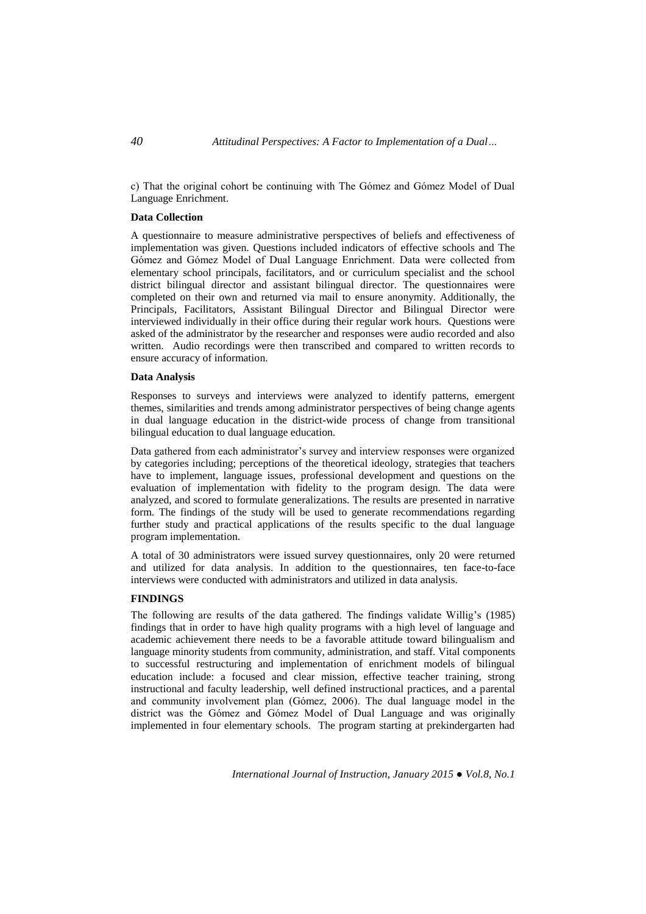c) That the original cohort be continuing with The Gómez and Gómez Model of Dual Language Enrichment.

#### **Data Collection**

A questionnaire to measure administrative perspectives of beliefs and effectiveness of implementation was given. Questions included indicators of effective schools and The Gómez and Gómez Model of Dual Language Enrichment. Data were collected from elementary school principals, facilitators, and or curriculum specialist and the school district bilingual director and assistant bilingual director. The questionnaires were completed on their own and returned via mail to ensure anonymity. Additionally, the Principals, Facilitators, Assistant Bilingual Director and Bilingual Director were interviewed individually in their office during their regular work hours. Questions were asked of the administrator by the researcher and responses were audio recorded and also written. Audio recordings were then transcribed and compared to written records to ensure accuracy of information.

#### **Data Analysis**

Responses to surveys and interviews were analyzed to identify patterns, emergent themes, similarities and trends among administrator perspectives of being change agents in dual language education in the district-wide process of change from transitional bilingual education to dual language education.

Data gathered from each administrator's survey and interview responses were organized by categories including; perceptions of the theoretical ideology, strategies that teachers have to implement, language issues, professional development and questions on the evaluation of implementation with fidelity to the program design. The data were analyzed, and scored to formulate generalizations. The results are presented in narrative form. The findings of the study will be used to generate recommendations regarding further study and practical applications of the results specific to the dual language program implementation.

A total of 30 administrators were issued survey questionnaires, only 20 were returned and utilized for data analysis. In addition to the questionnaires, ten face-to-face interviews were conducted with administrators and utilized in data analysis.

#### **FINDINGS**

The following are results of the data gathered. The findings validate Willig's (1985) findings that in order to have high quality programs with a high level of language and academic achievement there needs to be a favorable attitude toward bilingualism and language minority students from community, administration, and staff. Vital components to successful restructuring and implementation of enrichment models of bilingual education include: a focused and clear mission, effective teacher training, strong instructional and faculty leadership, well defined instructional practices, and a parental and community involvement plan (Gómez, 2006). The dual language model in the district was the Gómez and Gómez Model of Dual Language and was originally implemented in four elementary schools. The program starting at prekindergarten had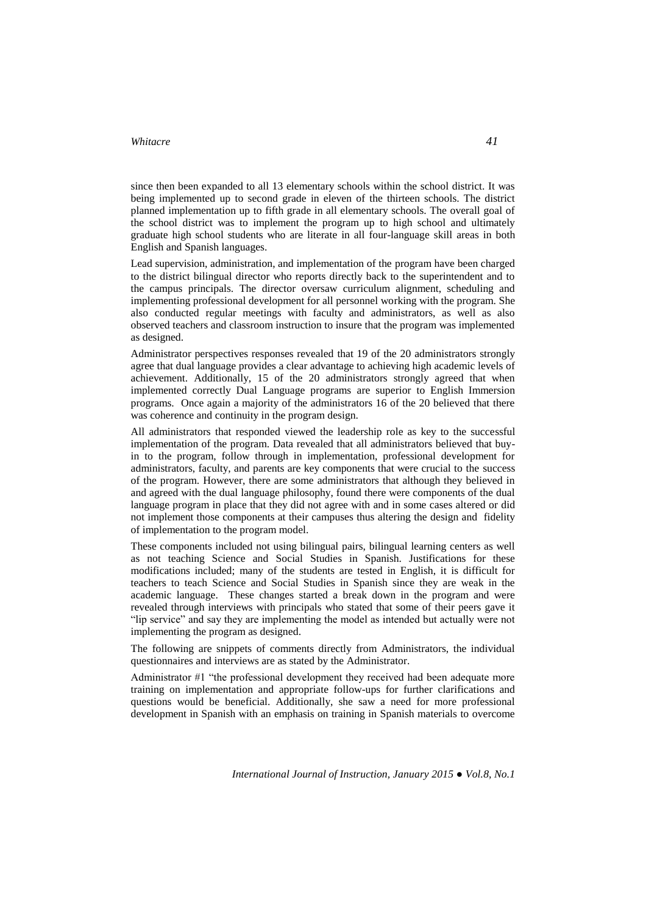since then been expanded to all 13 elementary schools within the school district. It was being implemented up to second grade in eleven of the thirteen schools. The district planned implementation up to fifth grade in all elementary schools. The overall goal of the school district was to implement the program up to high school and ultimately graduate high school students who are literate in all four-language skill areas in both English and Spanish languages.

Lead supervision, administration, and implementation of the program have been charged to the district bilingual director who reports directly back to the superintendent and to the campus principals. The director oversaw curriculum alignment, scheduling and implementing professional development for all personnel working with the program. She also conducted regular meetings with faculty and administrators, as well as also observed teachers and classroom instruction to insure that the program was implemented as designed.

Administrator perspectives responses revealed that 19 of the 20 administrators strongly agree that dual language provides a clear advantage to achieving high academic levels of achievement. Additionally, 15 of the 20 administrators strongly agreed that when implemented correctly Dual Language programs are superior to English Immersion programs. Once again a majority of the administrators 16 of the 20 believed that there was coherence and continuity in the program design.

All administrators that responded viewed the leadership role as key to the successful implementation of the program. Data revealed that all administrators believed that buyin to the program, follow through in implementation, professional development for administrators, faculty, and parents are key components that were crucial to the success of the program. However, there are some administrators that although they believed in and agreed with the dual language philosophy, found there were components of the dual language program in place that they did not agree with and in some cases altered or did not implement those components at their campuses thus altering the design and fidelity of implementation to the program model.

These components included not using bilingual pairs, bilingual learning centers as well as not teaching Science and Social Studies in Spanish. Justifications for these modifications included; many of the students are tested in English, it is difficult for teachers to teach Science and Social Studies in Spanish since they are weak in the academic language. These changes started a break down in the program and were revealed through interviews with principals who stated that some of their peers gave it "lip service" and say they are implementing the model as intended but actually were not implementing the program as designed.

The following are snippets of comments directly from Administrators, the individual questionnaires and interviews are as stated by the Administrator.

Administrator #1 "the professional development they received had been adequate more training on implementation and appropriate follow-ups for further clarifications and questions would be beneficial. Additionally, she saw a need for more professional development in Spanish with an emphasis on training in Spanish materials to overcome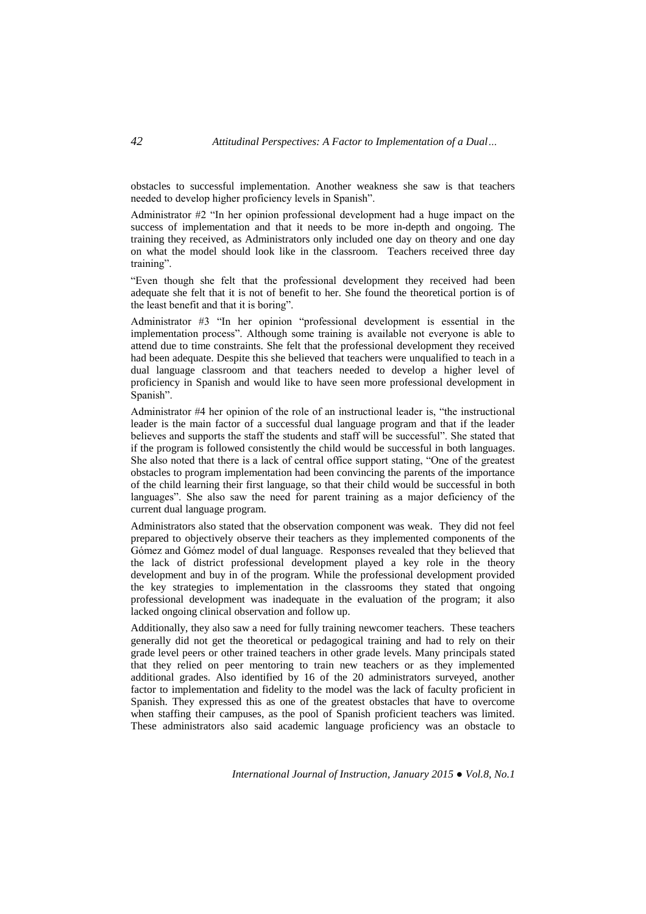obstacles to successful implementation. Another weakness she saw is that teachers needed to develop higher proficiency levels in Spanish".

Administrator #2 "In her opinion professional development had a huge impact on the success of implementation and that it needs to be more in-depth and ongoing. The training they received, as Administrators only included one day on theory and one day on what the model should look like in the classroom. Teachers received three day training".

"Even though she felt that the professional development they received had been adequate she felt that it is not of benefit to her. She found the theoretical portion is of the least benefit and that it is boring".

Administrator #3 "In her opinion "professional development is essential in the implementation process". Although some training is available not everyone is able to attend due to time constraints. She felt that the professional development they received had been adequate. Despite this she believed that teachers were unqualified to teach in a dual language classroom and that teachers needed to develop a higher level of proficiency in Spanish and would like to have seen more professional development in Spanish".

Administrator #4 her opinion of the role of an instructional leader is, "the instructional leader is the main factor of a successful dual language program and that if the leader believes and supports the staff the students and staff will be successful". She stated that if the program is followed consistently the child would be successful in both languages. She also noted that there is a lack of central office support stating, "One of the greatest obstacles to program implementation had been convincing the parents of the importance of the child learning their first language, so that their child would be successful in both languages". She also saw the need for parent training as a major deficiency of the current dual language program.

Administrators also stated that the observation component was weak. They did not feel prepared to objectively observe their teachers as they implemented components of the Gómez and Gómez model of dual language. Responses revealed that they believed that the lack of district professional development played a key role in the theory development and buy in of the program. While the professional development provided the key strategies to implementation in the classrooms they stated that ongoing professional development was inadequate in the evaluation of the program; it also lacked ongoing clinical observation and follow up.

Additionally, they also saw a need for fully training newcomer teachers. These teachers generally did not get the theoretical or pedagogical training and had to rely on their grade level peers or other trained teachers in other grade levels. Many principals stated that they relied on peer mentoring to train new teachers or as they implemented additional grades. Also identified by 16 of the 20 administrators surveyed, another factor to implementation and fidelity to the model was the lack of faculty proficient in Spanish. They expressed this as one of the greatest obstacles that have to overcome when staffing their campuses, as the pool of Spanish proficient teachers was limited. These administrators also said academic language proficiency was an obstacle to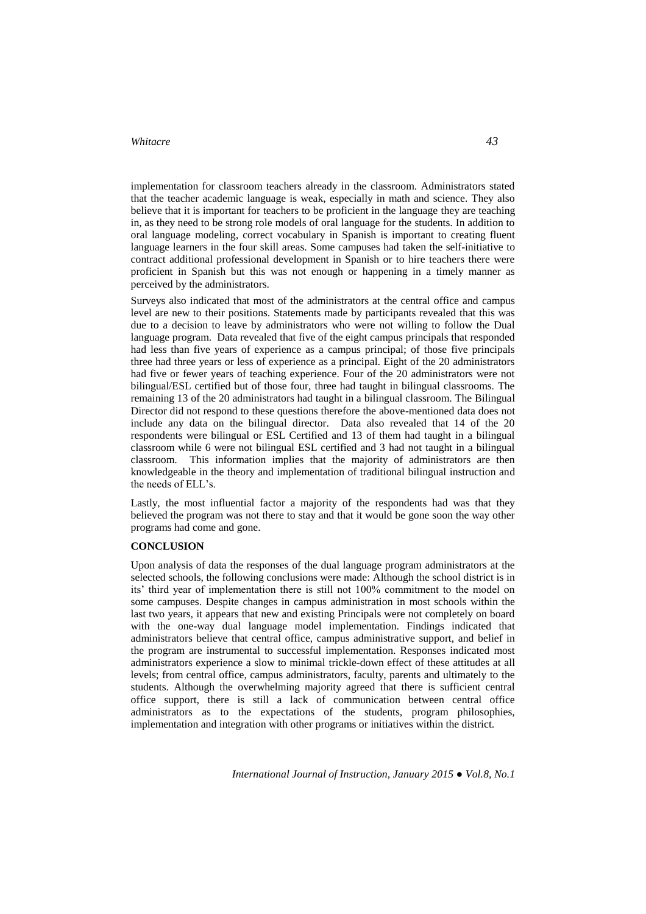implementation for classroom teachers already in the classroom. Administrators stated that the teacher academic language is weak, especially in math and science. They also believe that it is important for teachers to be proficient in the language they are teaching in, as they need to be strong role models of oral language for the students. In addition to oral language modeling, correct vocabulary in Spanish is important to creating fluent language learners in the four skill areas. Some campuses had taken the self-initiative to contract additional professional development in Spanish or to hire teachers there were proficient in Spanish but this was not enough or happening in a timely manner as perceived by the administrators.

Surveys also indicated that most of the administrators at the central office and campus level are new to their positions. Statements made by participants revealed that this was due to a decision to leave by administrators who were not willing to follow the Dual language program. Data revealed that five of the eight campus principals that responded had less than five years of experience as a campus principal; of those five principals three had three years or less of experience as a principal. Eight of the 20 administrators had five or fewer years of teaching experience. Four of the 20 administrators were not bilingual/ESL certified but of those four, three had taught in bilingual classrooms. The remaining 13 of the 20 administrators had taught in a bilingual classroom. The Bilingual Director did not respond to these questions therefore the above-mentioned data does not include any data on the bilingual director. Data also revealed that 14 of the 20 respondents were bilingual or ESL Certified and 13 of them had taught in a bilingual classroom while 6 were not bilingual ESL certified and 3 had not taught in a bilingual classroom. This information implies that the majority of administrators are then knowledgeable in the theory and implementation of traditional bilingual instruction and the needs of ELL's.

Lastly, the most influential factor a majority of the respondents had was that they believed the program was not there to stay and that it would be gone soon the way other programs had come and gone.

#### **CONCLUSION**

Upon analysis of data the responses of the dual language program administrators at the selected schools, the following conclusions were made: Although the school district is in its' third year of implementation there is still not 100% commitment to the model on some campuses. Despite changes in campus administration in most schools within the last two years, it appears that new and existing Principals were not completely on board with the one-way dual language model implementation. Findings indicated that administrators believe that central office, campus administrative support, and belief in the program are instrumental to successful implementation. Responses indicated most administrators experience a slow to minimal trickle-down effect of these attitudes at all levels; from central office, campus administrators, faculty, parents and ultimately to the students. Although the overwhelming majority agreed that there is sufficient central office support, there is still a lack of communication between central office administrators as to the expectations of the students, program philosophies, implementation and integration with other programs or initiatives within the district.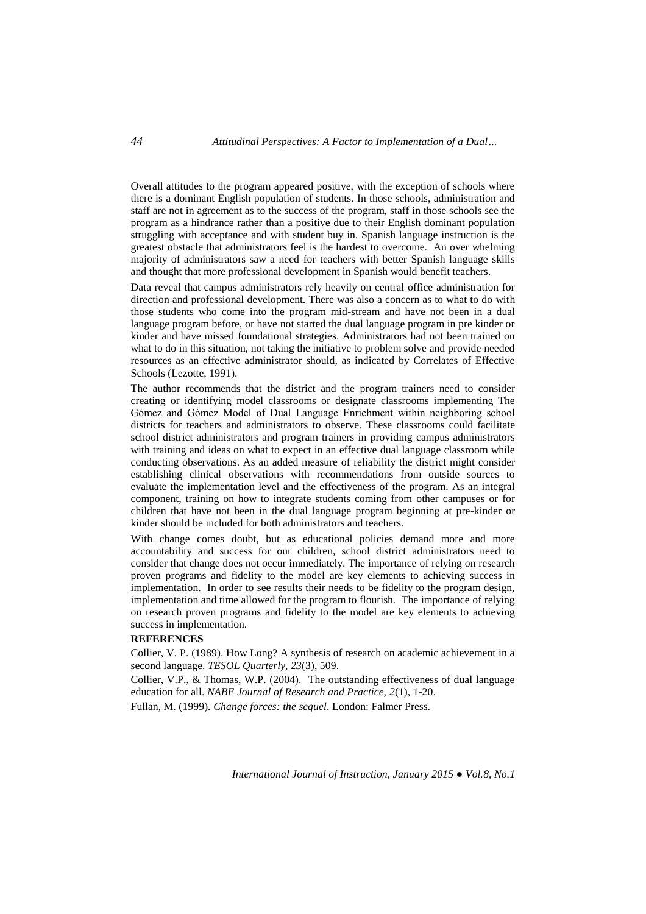Overall attitudes to the program appeared positive, with the exception of schools where there is a dominant English population of students. In those schools, administration and staff are not in agreement as to the success of the program, staff in those schools see the program as a hindrance rather than a positive due to their English dominant population struggling with acceptance and with student buy in. Spanish language instruction is the greatest obstacle that administrators feel is the hardest to overcome. An over whelming majority of administrators saw a need for teachers with better Spanish language skills and thought that more professional development in Spanish would benefit teachers.

Data reveal that campus administrators rely heavily on central office administration for direction and professional development. There was also a concern as to what to do with those students who come into the program mid-stream and have not been in a dual language program before, or have not started the dual language program in pre kinder or kinder and have missed foundational strategies. Administrators had not been trained on what to do in this situation, not taking the initiative to problem solve and provide needed resources as an effective administrator should, as indicated by Correlates of Effective Schools (Lezotte, 1991).

The author recommends that the district and the program trainers need to consider creating or identifying model classrooms or designate classrooms implementing The Gómez and Gómez Model of Dual Language Enrichment within neighboring school districts for teachers and administrators to observe. These classrooms could facilitate school district administrators and program trainers in providing campus administrators with training and ideas on what to expect in an effective dual language classroom while conducting observations. As an added measure of reliability the district might consider establishing clinical observations with recommendations from outside sources to evaluate the implementation level and the effectiveness of the program. As an integral component, training on how to integrate students coming from other campuses or for children that have not been in the dual language program beginning at pre-kinder or kinder should be included for both administrators and teachers.

With change comes doubt, but as educational policies demand more and more accountability and success for our children, school district administrators need to consider that change does not occur immediately. The importance of relying on research proven programs and fidelity to the model are key elements to achieving success in implementation. In order to see results their needs to be fidelity to the program design, implementation and time allowed for the program to flourish. The importance of relying on research proven programs and fidelity to the model are key elements to achieving success in implementation.

#### **REFERENCES**

Collier, V. P. (1989). How Long? A synthesis of research on academic achievement in a second language. *TESOL Quarterly*, *23*(3), 509.

Collier, V.P., & Thomas, W.P. (2004). The outstanding effectiveness of dual language education for all. *NABE Journal of Research and Practice, 2*(1), 1-20.

Fullan, M. (1999). *Change forces: the sequel*. London: Falmer Press.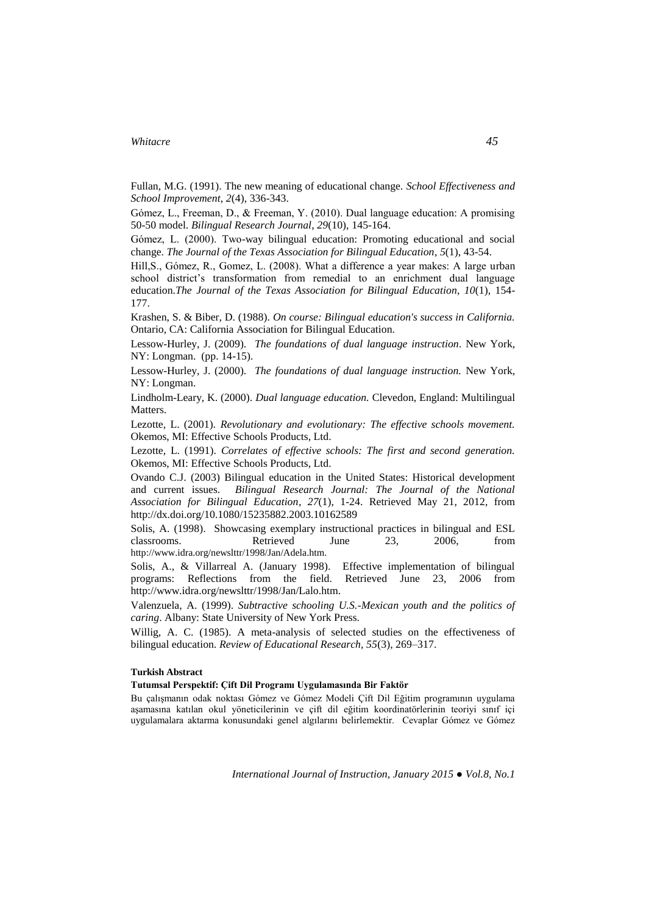Fullan, M.G. (1991). The new meaning of educational change. *School Effectiveness and School Improvement*, *2*(4), 336-343.

Gómez, L., Freeman, D., & Freeman, Y. (2010). Dual language education: A promising 50-50 model. *Bilingual Research Journal*, *29*(10), 145-164.

Gómez, L. (2000). Two-way bilingual education: Promoting educational and social change. *The Journal of the Texas Association for Bilingual Education*, *5*(1), 43-54.

Hill,S., Gómez, R., Gomez, L. (2008). What a difference a year makes: A large urban school district's transformation from remedial to an enrichment dual language education.*The Journal of the Texas Association for Bilingual Education*, *10*(1), 154- 177.

Krashen, S. & Biber, D. (1988). *On course: Bilingual education's success in California.* Ontario, CA: California Association for Bilingual Education.

Lessow-Hurley, J. (2009). *The foundations of dual language instruction*. New York, NY: Longman. (pp. 14-15).

Lessow-Hurley, J. (2000). *The foundations of dual language instruction.* New York, NY: Longman.

Lindholm-Leary, K. (2000). *Dual language education.* Clevedon, England: Multilingual Matters.

Lezotte, L. (2001). *Revolutionary and evolutionary: The effective schools movement.* Okemos, MI: Effective Schools Products, Ltd.

Lezotte, L. (1991). *Correlates of effective schools: The first and second generation.* Okemos, MI: Effective Schools Products, Ltd.

Ovando C.J. (2003) Bilingual education in the United States: Historical development and current issues. *Bilingual Research Journal: The Journal of the National Association for Bilingual Education*, *27*(1), 1-24. Retrieved May 21, 2012, from <http://dx.doi.org/10.1080/15235882.2003.10162589>

Solis, A. (1998). Showcasing exemplary instructional practices in bilingual and ESL classrooms.Retrieved June 23, 2006, from [http://www.idra.org/newslttr/1998/Jan/Adela.htm.](http://www.idra.org/newslttr/1998/Jan/Adela.htm)

Solis, A., & Villarreal A. (January 1998). Effective implementation of bilingual programs: Reflections from the field. Retrieved June 23, 2006 from [http://www.idra.org/newslttr/1998/Jan/Lalo.htm.](http://www.idra.org/newslttr/1998/Jan/Lalo.htm)

Valenzuela, A. (1999). *Subtractive schooling U.S.-Mexican youth and the politics of caring*. Albany: State University of New York Press.

Willig, A. C. (1985). A meta-analysis of selected studies on the effectiveness of bilingual education. *Review of Educational Research, 55*(3), 269–317.

#### **Turkish Abstract**

**Tutumsal Perspektif: Çift Dil Programı Uygulamasında Bir Faktör** 

Bu çalışmanın odak noktası Gómez ve Gómez Modeli Çift Dil Eğitim programının uygulama aşamasına katılan okul yöneticilerinin ve çift dil eğitim koordinatörlerinin teoriyi sınıf içi uygulamalara aktarma konusundaki genel algılarını belirlemektir. Cevaplar Gómez ve Gómez